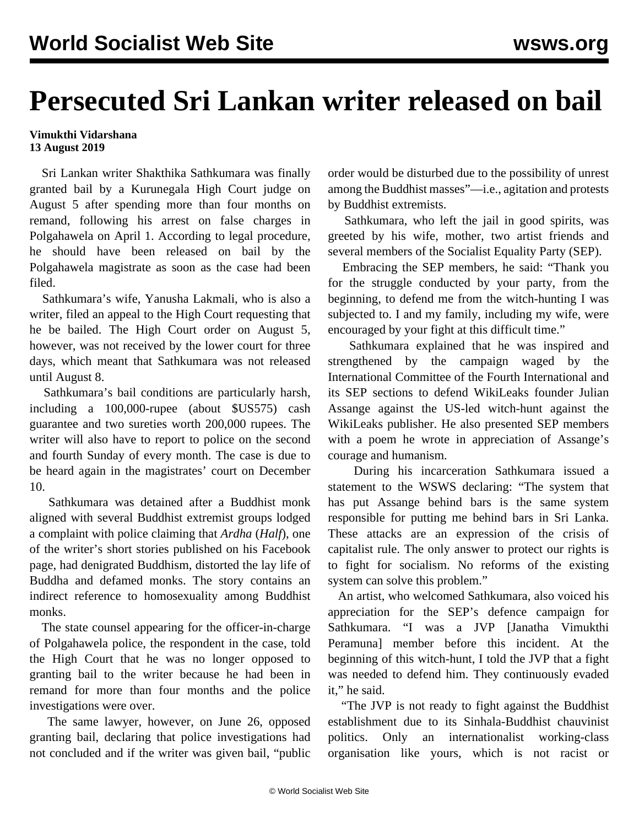## **Persecuted Sri Lankan writer released on bail**

## **Vimukthi Vidarshana 13 August 2019**

 Sri Lankan writer Shakthika Sathkumara was finally granted bail by a Kurunegala High Court judge on August 5 after spending more than four months on remand, following his arrest on false charges in Polgahawela on April 1. According to legal procedure, he should have been released on bail by the Polgahawela magistrate as soon as the case had been filed.

 Sathkumara's wife, Yanusha Lakmali, who is also a writer, filed an appeal to the High Court requesting that he be bailed. The High Court order on August 5, however, was not received by the lower court for three days, which meant that Sathkumara was not released until August 8.

 Sathkumara's bail conditions are particularly harsh, including a 100,000-rupee (about \$US575) cash guarantee and two sureties worth 200,000 rupees. The writer will also have to report to police on the second and fourth Sunday of every month. The case is due to be heard again in the magistrates' court on December 10.

 Sathkumara was detained after a Buddhist monk aligned with several Buddhist extremist groups lodged a complaint with police claiming that *Ardha* (*Half*), one of the writer's short stories published on his Facebook page, had denigrated Buddhism, distorted the lay life of Buddha and defamed monks. The story contains an indirect reference to homosexuality among Buddhist monks.

 The state counsel appearing for the officer-in-charge of Polgahawela police, the respondent in the case, told the High Court that he was no longer opposed to granting bail to the writer because he had been in remand for more than four months and the police investigations were over.

 The same lawyer, however, on June 26, opposed granting bail, declaring that police investigations had not concluded and if the writer was given bail, "public order would be disturbed due to the possibility of unrest among the Buddhist masses"—i.e., agitation and protests by Buddhist extremists.

 Sathkumara, who left the jail in good spirits, was greeted by his wife, mother, two artist friends and several members of the Socialist Equality Party (SEP).

 Embracing the SEP members, he said: "Thank you for the struggle conducted by your party, from the beginning, to defend me from the witch-hunting I was subjected to. I and my family, including my wife, were encouraged by your fight at this difficult time."

 Sathkumara explained that he was inspired and strengthened by the campaign waged by the International Committee of the Fourth International and its SEP sections to defend WikiLeaks founder Julian Assange against the US-led witch-hunt against the WikiLeaks publisher. He also presented SEP members with a poem he wrote in appreciation of Assange's courage and humanism.

 During his incarceration Sathkumara issued a statement to the WSWS declaring: "The system that has put Assange behind bars is the same system responsible for putting me behind bars in Sri Lanka. These attacks are an expression of the crisis of capitalist rule. The only answer to protect our rights is to fight for socialism. No reforms of the existing system can solve this problem."

 An artist, who welcomed Sathkumara, also voiced his appreciation for the SEP's defence campaign for Sathkumara. "I was a JVP [Janatha Vimukthi Peramuna] member before this incident. At the beginning of this witch-hunt, I told the JVP that a fight was needed to defend him. They continuously evaded it," he said.

 "The JVP is not ready to fight against the Buddhist establishment due to its Sinhala-Buddhist chauvinist politics. Only an internationalist working-class organisation like yours, which is not racist or